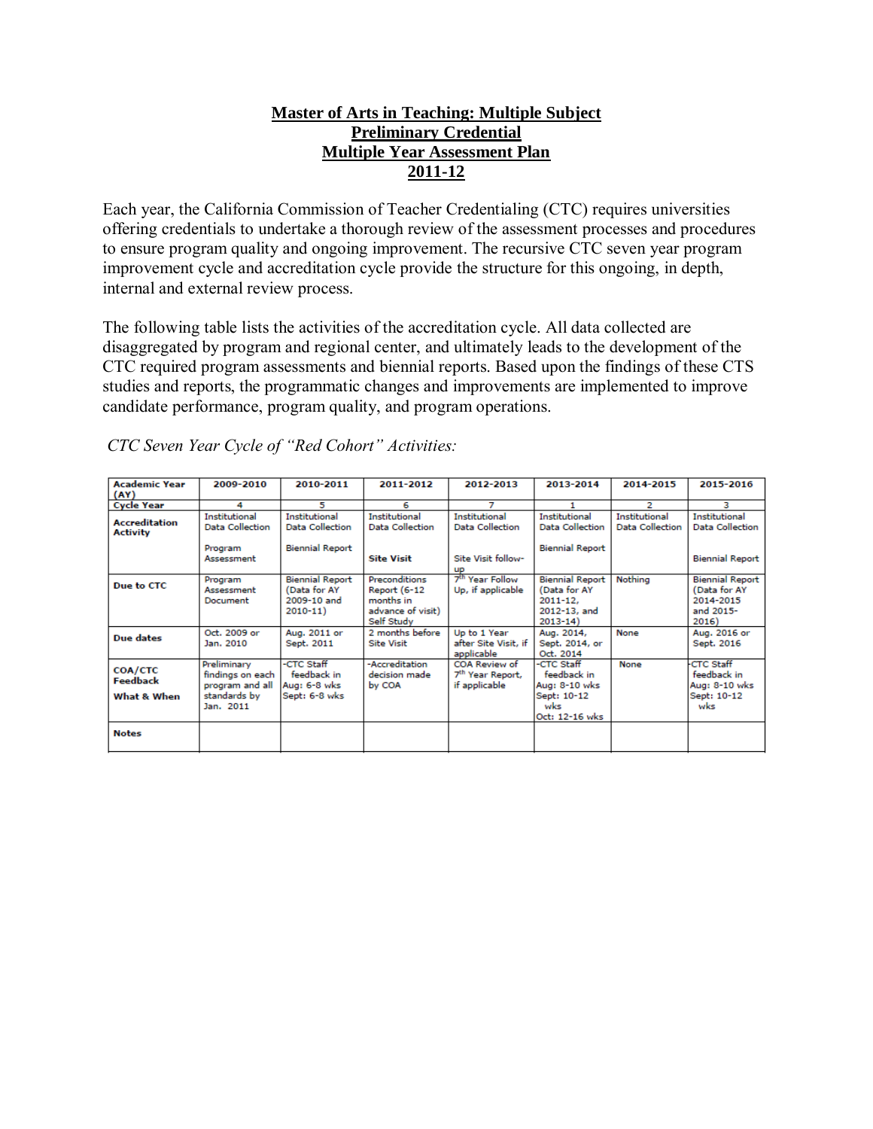### **Master of Arts in Teaching: Multiple Subject Preliminary Credential Multiple Year Assessment Plan 2011-12**

Each year, the California Commission of Teacher Credentialing (CTC) requires universities offering credentials to undertake a thorough review of the assessment processes and procedures to ensure program quality and ongoing improvement. The recursive CTC seven year program improvement cycle and accreditation cycle provide the structure for this ongoing, in depth, internal and external review process.

The following table lists the activities of the accreditation cycle. All data collected are disaggregated by program and regional center, and ultimately leads to the development of the CTC required program assessments and biennial reports. Based upon the findings of these CTS studies and reports, the programmatic changes and improvements are implemented to improve candidate performance, program quality, and program operations.

| <b>Academic Year</b><br>(AY)                     | 2009-2010                                                                       | 2010-2011                                                            | 2011-2012                                                                     | 2012-2013                                                                  | 2013-2014                                                                             | 2014-2015                                      | 2015-2016                                                                 |
|--------------------------------------------------|---------------------------------------------------------------------------------|----------------------------------------------------------------------|-------------------------------------------------------------------------------|----------------------------------------------------------------------------|---------------------------------------------------------------------------------------|------------------------------------------------|---------------------------------------------------------------------------|
| <b>Cycle Year</b>                                | 4                                                                               | 5                                                                    | 6                                                                             |                                                                            |                                                                                       | 2                                              | з                                                                         |
| <b>Accreditation</b><br><b>Activity</b>          | <b>Institutional</b><br><b>Data Collection</b><br>Program<br>Assessment         | Institutional<br><b>Data Collection</b><br><b>Biennial Report</b>    | <b>Institutional</b><br>Data Collection<br><b>Site Visit</b>                  | <b>Institutional</b><br>Data Collection<br>Site Visit follow-<br><b>UP</b> | <b>Institutional</b><br><b>Data Collection</b><br><b>Biennial Report</b>              | <b>Institutional</b><br><b>Data Collection</b> | <b>Institutional</b><br><b>Data Collection</b><br><b>Biennial Report</b>  |
| Due to CTC                                       | Program<br>Assessment<br>Document                                               | <b>Biennial Report</b><br>(Data for AY<br>2009-10 and<br>$2010 - 11$ | Preconditions<br>Report (6-12<br>months in<br>advance of visit)<br>Self Study | 7 <sup>th</sup> Year Follow<br>Up, if applicable                           | <b>Biennial Report</b><br>(Data for AY<br>$2011 - 12.$<br>2012-13, and<br>$2013 - 14$ | Nothing                                        | <b>Biennial Report</b><br>(Data for AY<br>2014-2015<br>and 2015-<br>2016) |
| Due dates                                        | Oct. 2009 or<br>Jan. 2010                                                       | Aug. 2011 or<br>Sept. 2011                                           | 2 months before<br><b>Site Visit</b>                                          | Up to 1 Year<br>after Site Visit, if<br>applicable                         | Aug. 2014,<br>Sept. 2014, or<br>Oct. 2014                                             | None                                           | Aug. 2016 or<br>Sept. 2016                                                |
| <b>COA/CTC</b><br><b>Feedback</b><br>What & When | Preliminary<br>findings on each<br>program and all<br>standards by<br>Jan. 2011 | -CTC Staff<br>feedback in<br>Aug: 6-8 wks<br>Sept: 6-8 wks           | -Accreditation<br>decision made.<br>by COA                                    | COA Review of<br>7 <sup>th</sup> Year Report,<br>if applicable             | -CTC Staff<br>feedback in<br>Aug: 8-10 wks<br>Sept: 10-12<br>wks<br>Oct: 12-16 wks    | None                                           | <b>CTC Staff</b><br>feedback in<br>Aug: 8-10 wks<br>Sept: 10-12<br>wks    |
| <b>Notes</b>                                     |                                                                                 |                                                                      |                                                                               |                                                                            |                                                                                       |                                                |                                                                           |

*CTC Seven Year Cycle of "Red Cohort" Activities:*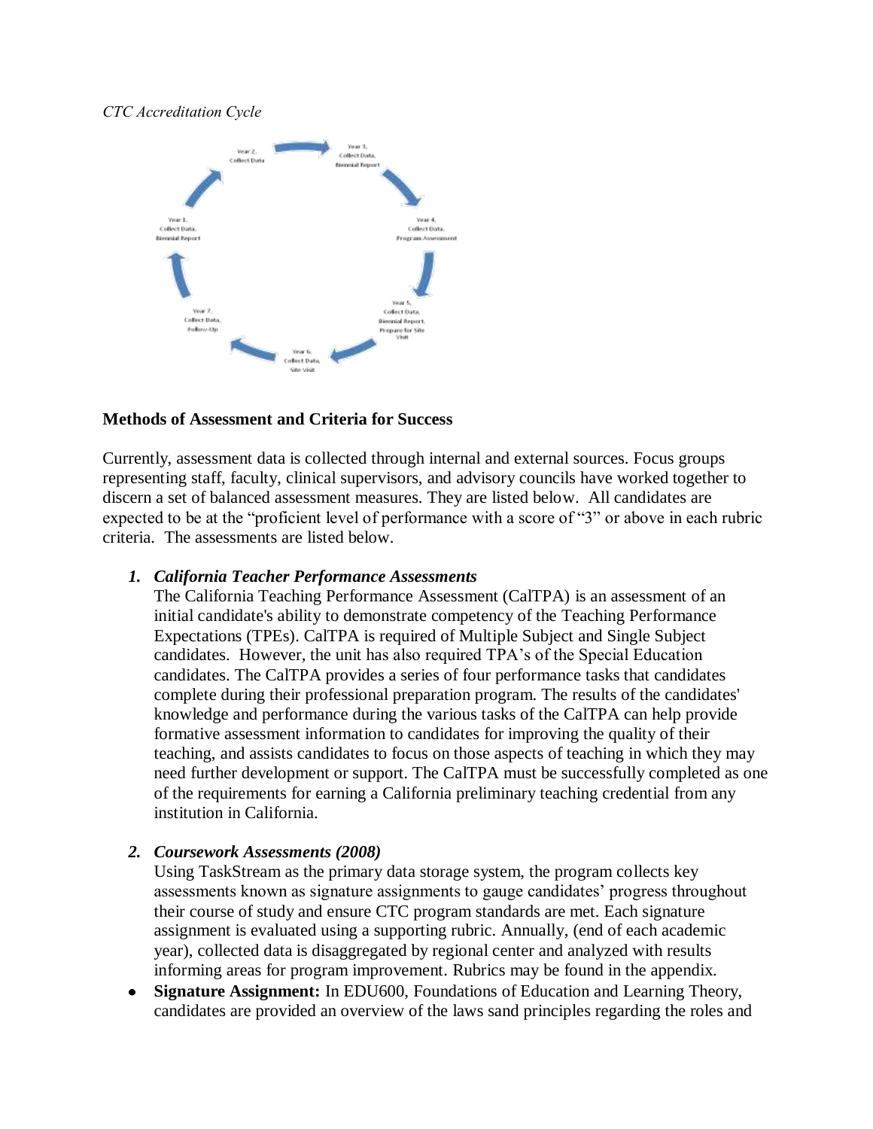### *CTC Accreditation Cycle*



### **Methods of Assessment and Criteria for Success**

Currently, assessment data is collected through internal and external sources. Focus groups representing staff, faculty, clinical supervisors, and advisory councils have worked together to discern a set of balanced assessment measures. They are listed below. All candidates are expected to be at the "proficient level of performance with a score of "3" or above in each rubric criteria. The assessments are listed below.

### *1. California Teacher Performance Assessments*

The [California Teaching Performance Assessment \(CalTPA\)](https://portal.pointloma.edu/web/education/home/-/wiki/Main/Glossary) is an [assessment](https://portal.pointloma.edu/web/education/home/-/wiki/Main/Glossary) of an initial candidate's ability to demonstrate competency of the [Teaching Performance](https://portal.pointloma.edu/web/education/home/-/wiki/Main/TPES)  [Expectations \(TPEs\).](https://portal.pointloma.edu/web/education/home/-/wiki/Main/TPES) CalTPA is required of Multiple Subject and Single Subject candidates. However, the unit has also required TPA's of the Special Education candidates. The CalTPA provides a series of four performance tasks that candidates complete during their professional preparation program. The results of the candidates' knowledge and performance during the various tasks of the CalTPA can help provide formative assessment information to candidates for improving the quality of their teaching, and assists candidates to focus on those aspects of teaching in which they may need further development or support. The CalTPA must be successfully completed as one of the requirements for earning a California preliminary teaching credential from any institution in California.

### *2. Coursework Assessments (2008)*

Using TaskStream as the primary data storage system, the program collects key assessments known as signature assignments to gauge candidates' progress throughout their course of study and ensure CTC program standards are met. Each signature assignment is evaluated using a supporting rubric. Annually, (end of each academic year), collected data is disaggregated by regional center and analyzed with results informing areas for program improvement. Rubrics may be found in the appendix.

**Signature Assignment:** In EDU600, Foundations of Education and Learning Theory,  $\bullet$ candidates are provided an overview of the laws sand principles regarding the roles and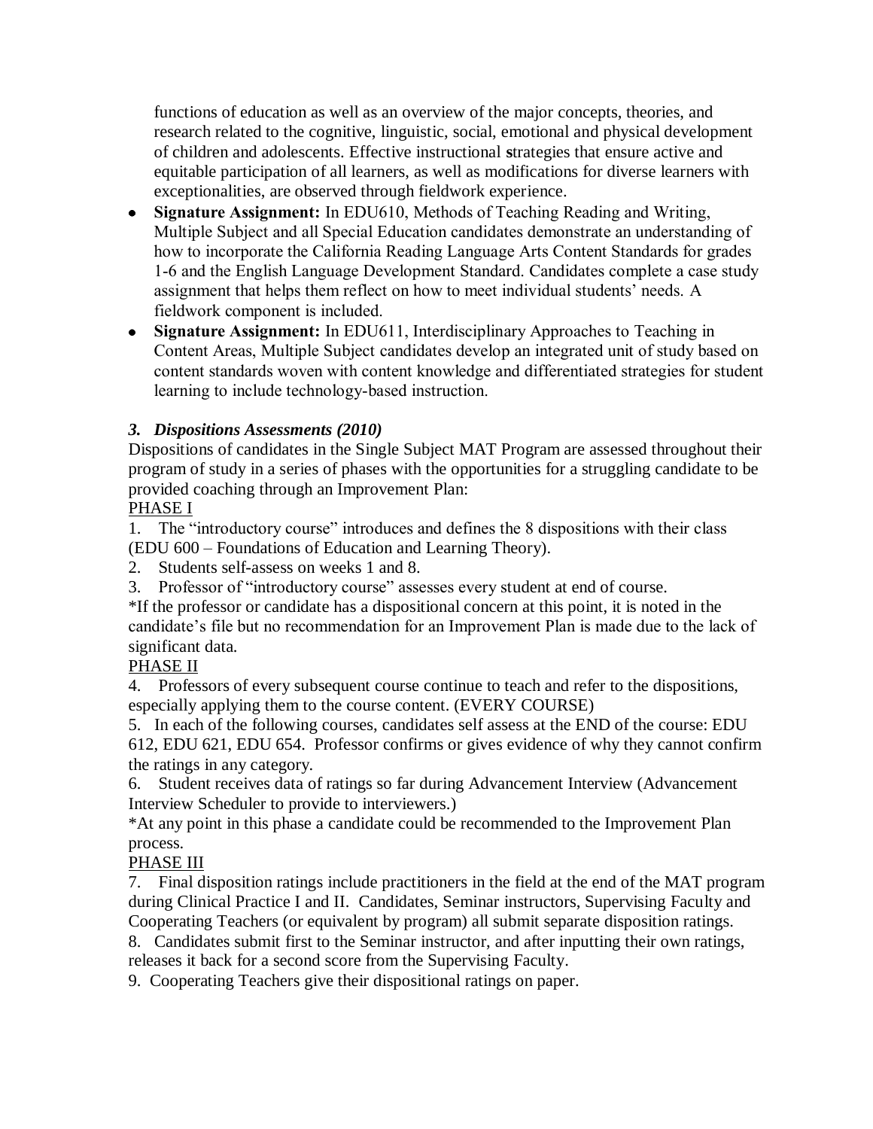functions of education as well as an overview of the major concepts, theories, and research related to the cognitive, linguistic, social, emotional and physical development of children and adolescents. Effective instructional **s**trategies that ensure active and equitable participation of all learners, as well as modifications for diverse learners with exceptionalities, are observed through fieldwork experience.

- **Signature Assignment:** In EDU610, Methods of Teaching Reading and Writing, Multiple Subject and all Special Education candidates demonstrate an understanding of how to incorporate the California Reading Language Arts Content Standards for grades 1-6 and the English Language Development Standard. Candidates complete a case study assignment that helps them reflect on how to meet individual students' needs. A fieldwork component is included.
- **Signature Assignment:** In EDU611, Interdisciplinary Approaches to Teaching in Content Areas, Multiple Subject candidates develop an integrated unit of study based on content standards woven with content knowledge and differentiated strategies for student learning to include technology-based instruction.

# *3. Dispositions Assessments (2010)*

Dispositions of candidates in the Single Subject MAT Program are assessed throughout their program of study in a series of phases with the opportunities for a struggling candidate to be provided coaching through an Improvement Plan:

### PHASE I

1. The "introductory course" introduces and defines the 8 dispositions with their class (EDU 600 – Foundations of Education and Learning Theory).

- 2. Students self-assess on weeks 1 and 8.
- 3. Professor of "introductory course" assesses every student at end of course.

\*If the professor or candidate has a dispositional concern at this point, it is noted in the candidate's file but no recommendation for an Improvement Plan is made due to the lack of significant data.

# PHASE II

4. Professors of every subsequent course continue to teach and refer to the dispositions, especially applying them to the course content. (EVERY COURSE)

5. In each of the following courses, candidates self assess at the END of the course: EDU 612, EDU 621, EDU 654. Professor confirms or gives evidence of why they cannot confirm the ratings in any category.

6. Student receives data of ratings so far during Advancement Interview (Advancement Interview Scheduler to provide to interviewers.)

\*At any point in this phase a candidate could be recommended to the Improvement Plan process.

# PHASE III

7. Final disposition ratings include practitioners in the field at the end of the MAT program during Clinical Practice I and II. Candidates, Seminar instructors, Supervising Faculty and Cooperating Teachers (or equivalent by program) all submit separate disposition ratings.

8. Candidates submit first to the Seminar instructor, and after inputting their own ratings, releases it back for a second score from the Supervising Faculty.

9. Cooperating Teachers give their dispositional ratings on paper.